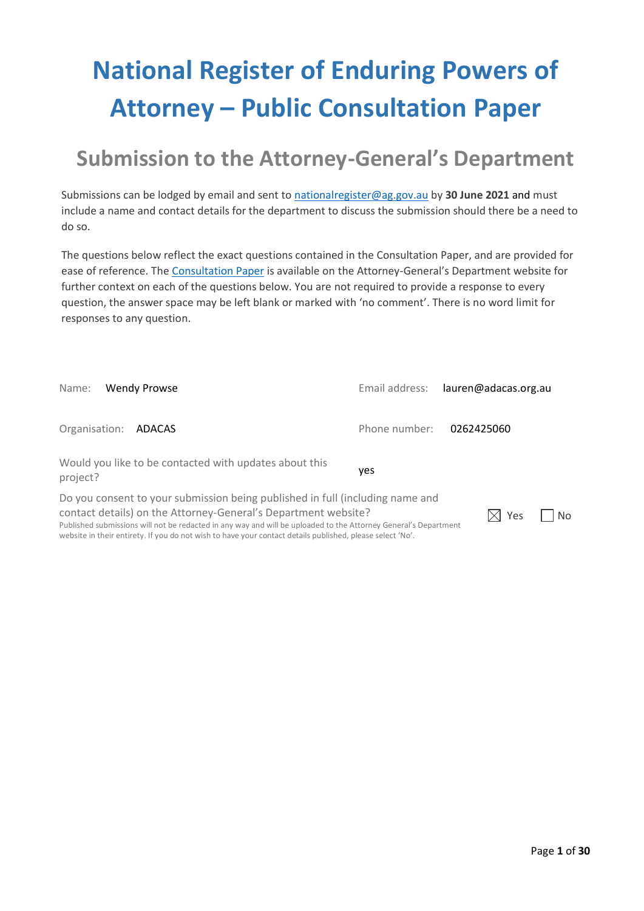# **National Register of Enduring Powers of Attorney – Public Consultation Paper**

# **Submission to the Attorney-General's Department**

Submissions can be lodged by email and sent to [nationalregister@ag.gov.au](mailto:nationalregister@ag.gov.au) by **30 June 2021** and must include a name and contact details for the department to discuss the submission should there be a need to do so.

The questions below reflect the exact questions contained in the Consultation Paper, and are provided for ease of reference. The [Consultation Paper](https://www.ag.gov.au/node/5711) is available on the Attorney-General's Department website for further context on each of the questions below. You are not required to provide a response to every question, the answer space may be left blank or marked with 'no comment'. There is no word limit for responses to any question.

| Name:<br><b>Wendy Prowse</b>                                                                                                                                                                                                                                                                                                                                                    |               | Email address: lauren@adacas.org.au |
|---------------------------------------------------------------------------------------------------------------------------------------------------------------------------------------------------------------------------------------------------------------------------------------------------------------------------------------------------------------------------------|---------------|-------------------------------------|
| Organisation: <b>ADACAS</b>                                                                                                                                                                                                                                                                                                                                                     | Phone number: | 0262425060                          |
| Would you like to be contacted with updates about this<br>project?                                                                                                                                                                                                                                                                                                              | yes           |                                     |
| Do you consent to your submission being published in full (including name and<br>contact details) on the Attorney-General's Department website?<br>Published submissions will not be redacted in any way and will be uploaded to the Attorney General's Department<br>website in their entirety. If you do not wish to have your contact details published, please select 'No'. |               | Yes<br><b>No</b><br>ΧI              |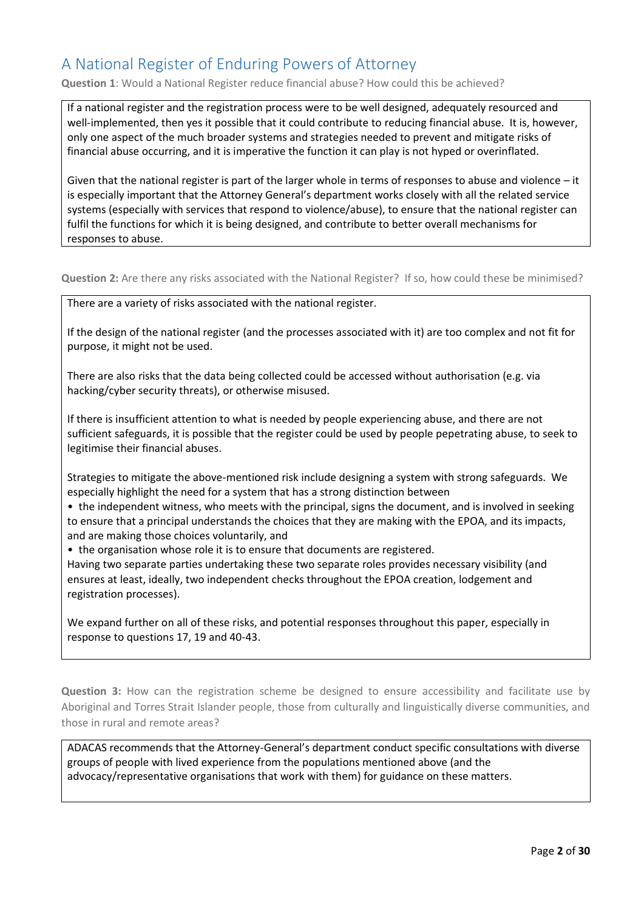#### A National Register of Enduring Powers of Attorney

**Question 1**: Would a National Register reduce financial abuse? How could this be achieved?

If a national register and the registration process were to be well designed, adequately resourced and well-implemented, then yes it possible that it could contribute to reducing financial abuse. It is, however, only one aspect of the much broader systems and strategies needed to prevent and mitigate risks of financial abuse occurring, and it is imperative the function it can play is not hyped or overinflated.

Given that the national register is part of the larger whole in terms of responses to abuse and violence – it is especially important that the Attorney General's department works closely with all the related service systems (especially with services that respond to violence/abuse), to ensure that the national register can fulfil the functions for which it is being designed, and contribute to better overall mechanisms for responses to abuse.

**Question 2:** Are there any risks associated with the National Register? If so, how could these be minimised?

There are a variety of risks associated with the national register.

If the design of the national register (and the processes associated with it) are too complex and not fit for purpose, it might not be used.

There are also risks that the data being collected could be accessed without authorisation (e.g. via hacking/cyber security threats), or otherwise misused.

If there is insufficient attention to what is needed by people experiencing abuse, and there are not sufficient safeguards, it is possible that the register could be used by people pepetrating abuse, to seek to legitimise their financial abuses.

Strategies to mitigate the above-mentioned risk include designing a system with strong safeguards. We especially highlight the need for a system that has a strong distinction between

• the independent witness, who meets with the principal, signs the document, and is involved in seeking to ensure that a principal understands the choices that they are making with the EPOA, and its impacts, and are making those choices voluntarily, and

• the organisation whose role it is to ensure that documents are registered.

Having two separate parties undertaking these two separate roles provides necessary visibility (and ensures at least, ideally, two independent checks throughout the EPOA creation, lodgement and registration processes).

We expand further on all of these risks, and potential responses throughout this paper, especially in response to questions 17, 19 and 40-43.

**Question 3:** How can the registration scheme be designed to ensure accessibility and facilitate use by Aboriginal and Torres Strait Islander people, those from culturally and linguistically diverse communities, and those in rural and remote areas?

ADACAS recommends that the Attorney-General's department conduct specific consultations with diverse groups of people with lived experience from the populations mentioned above (and the advocacy/representative organisations that work with them) for guidance on these matters.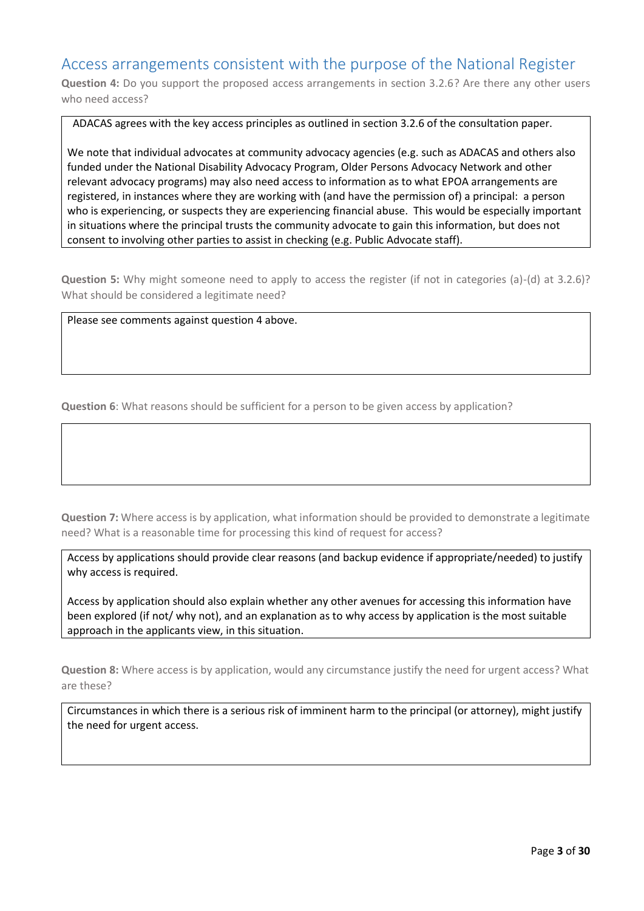#### Access arrangements consistent with the purpose of the National Register

**Question 4:** Do you support the proposed access arrangements in section 3.2.6? Are there any other users who need access?

ADACAS agrees with the key access principles as outlined in section 3.2.6 of the consultation paper.

We note that individual advocates at community advocacy agencies (e.g. such as ADACAS and others also funded under the National Disability Advocacy Program, Older Persons Advocacy Network and other relevant advocacy programs) may also need access to information as to what EPOA arrangements are registered, in instances where they are working with (and have the permission of) a principal: a person who is experiencing, or suspects they are experiencing financial abuse. This would be especially important in situations where the principal trusts the community advocate to gain this information, but does not consent to involving other parties to assist in checking (e.g. Public Advocate staff).

**Question 5:** Why might someone need to apply to access the register (if not in categories (a)-(d) at 3.2.6)? What should be considered a legitimate need?

Please see comments against question 4 above.

**Question 6**: What reasons should be sufficient for a person to be given access by application?

**Question 7:** Where access is by application, what information should be provided to demonstrate a legitimate need? What is a reasonable time for processing this kind of request for access?

Access by applications should provide clear reasons (and backup evidence if appropriate/needed) to justify why access is required.

Access by application should also explain whether any other avenues for accessing this information have been explored (if not/ why not), and an explanation as to why access by application is the most suitable approach in the applicants view, in this situation.

**Question 8:** Where access is by application, would any circumstance justify the need for urgent access? What are these?

Circumstances in which there is a serious risk of imminent harm to the principal (or attorney), might justify the need for urgent access.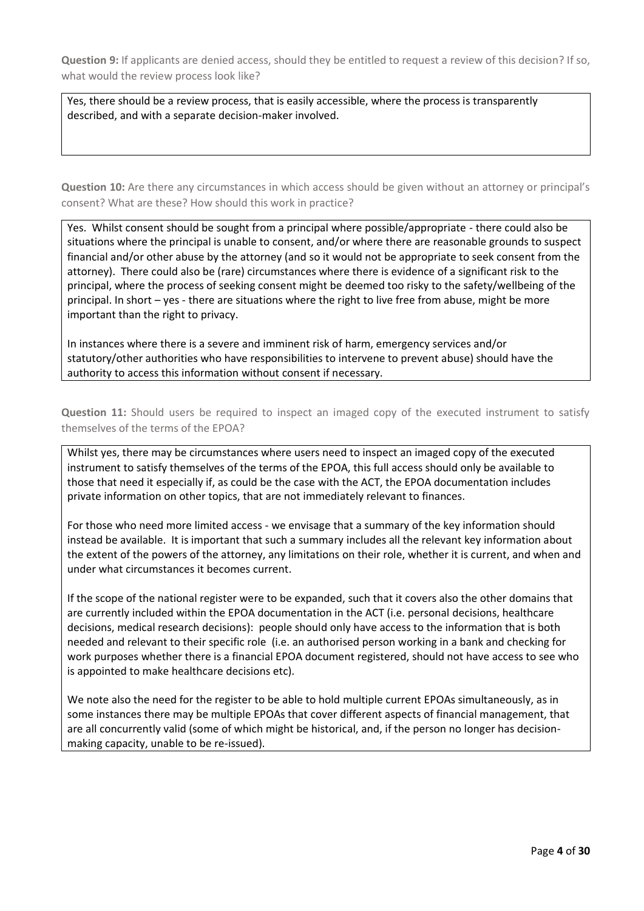**Question 9:** If applicants are denied access, should they be entitled to request a review of this decision? If so, what would the review process look like?

Yes, there should be a review process, that is easily accessible, where the process is transparently described, and with a separate decision-maker involved.

**Question 10:** Are there any circumstances in which access should be given without an attorney or principal's consent? What are these? How should this work in practice?

Yes. Whilst consent should be sought from a principal where possible/appropriate - there could also be situations where the principal is unable to consent, and/or where there are reasonable grounds to suspect financial and/or other abuse by the attorney (and so it would not be appropriate to seek consent from the attorney). There could also be (rare) circumstances where there is evidence of a significant risk to the principal, where the process of seeking consent might be deemed too risky to the safety/wellbeing of the principal. In short – yes - there are situations where the right to live free from abuse, might be more important than the right to privacy.

In instances where there is a severe and imminent risk of harm, emergency services and/or statutory/other authorities who have responsibilities to intervene to prevent abuse) should have the authority to access this information without consent if necessary.

**Question 11:** Should users be required to inspect an imaged copy of the executed instrument to satisfy themselves of the terms of the EPOA?

Whilst yes, there may be circumstances where users need to inspect an imaged copy of the executed instrument to satisfy themselves of the terms of the EPOA, this full access should only be available to those that need it especially if, as could be the case with the ACT, the EPOA documentation includes private information on other topics, that are not immediately relevant to finances.

For those who need more limited access - we envisage that a summary of the key information should instead be available. It is important that such a summary includes all the relevant key information about the extent of the powers of the attorney, any limitations on their role, whether it is current, and when and under what circumstances it becomes current.

If the scope of the national register were to be expanded, such that it covers also the other domains that are currently included within the EPOA documentation in the ACT (i.e. personal decisions, healthcare decisions, medical research decisions): people should only have access to the information that is both needed and relevant to their specific role (i.e. an authorised person working in a bank and checking for work purposes whether there is a financial EPOA document registered, should not have access to see who is appointed to make healthcare decisions etc).

We note also the need for the register to be able to hold multiple current EPOAs simultaneously, as in some instances there may be multiple EPOAs that cover different aspects of financial management, that are all concurrently valid (some of which might be historical, and, if the person no longer has decisionmaking capacity, unable to be re-issued).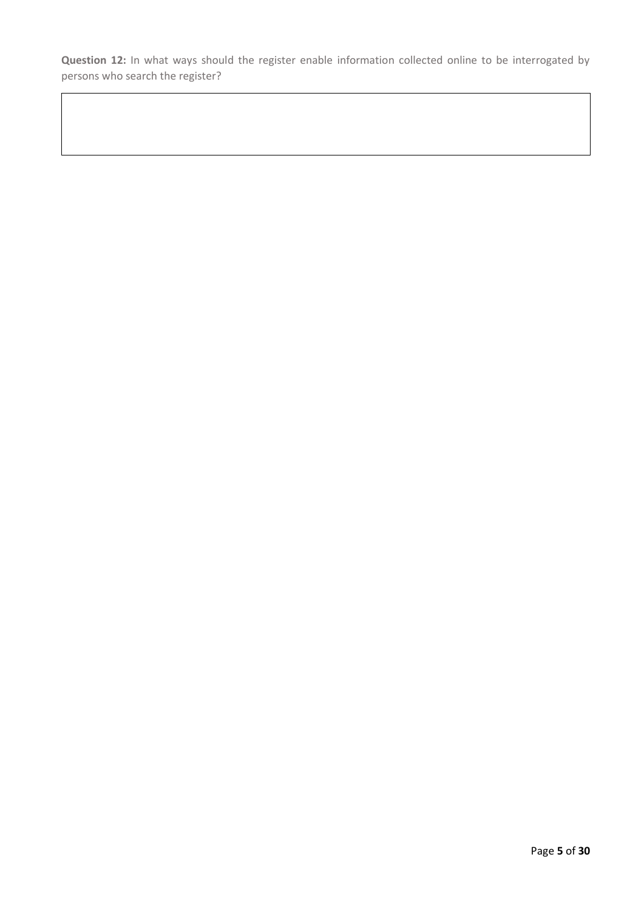**Question 12:** In what ways should the register enable information collected online to be interrogated by persons who search the register?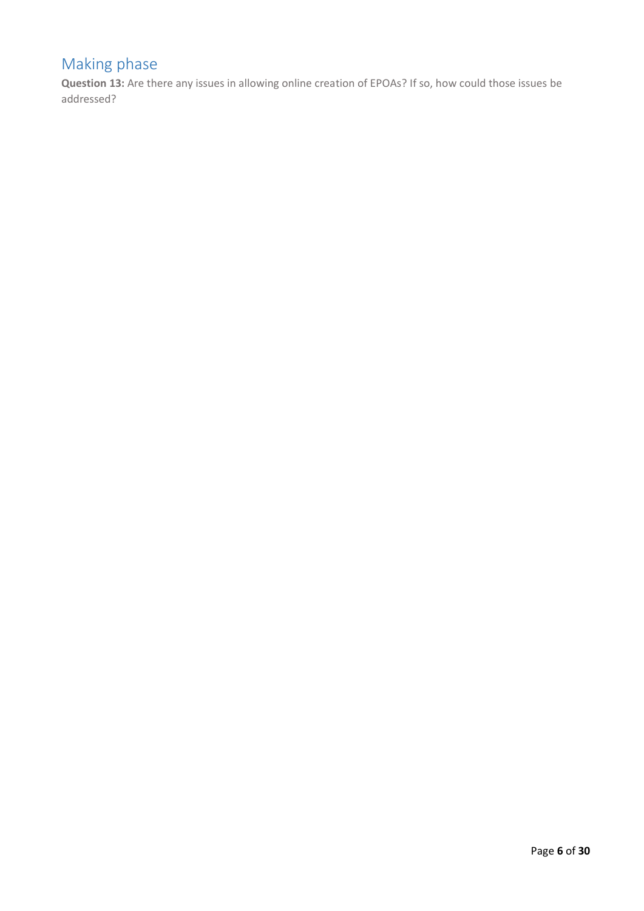## Making phase

**Question 13:** Are there any issues in allowing online creation of EPOAs? If so, how could those issues be addressed?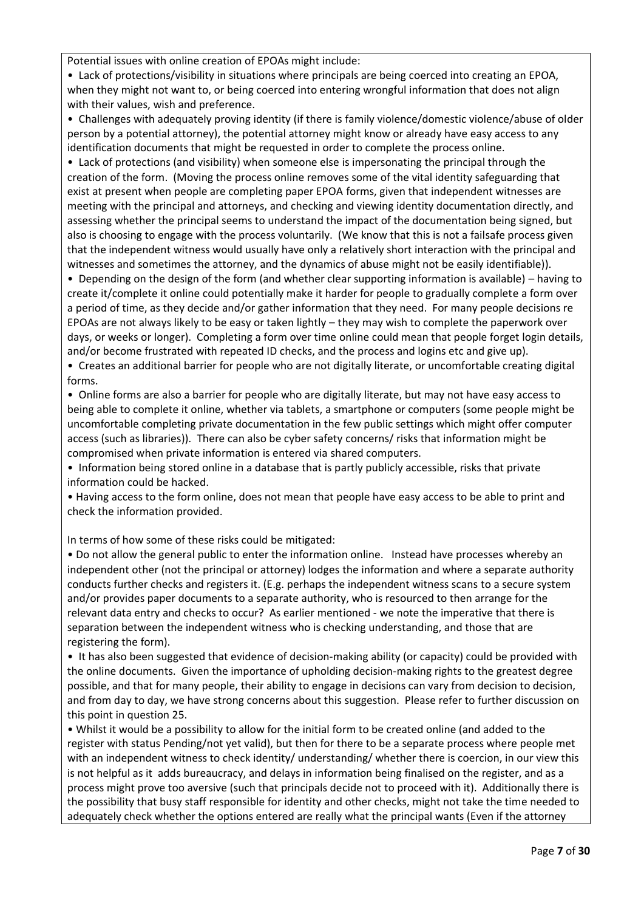Potential issues with online creation of EPOAs might include:

• Lack of protections/visibility in situations where principals are being coerced into creating an EPOA, when they might not want to, or being coerced into entering wrongful information that does not align with their values, wish and preference.

• Challenges with adequately proving identity (if there is family violence/domestic violence/abuse of older person by a potential attorney), the potential attorney might know or already have easy access to any identification documents that might be requested in order to complete the process online.

• Lack of protections (and visibility) when someone else is impersonating the principal through the creation of the form. (Moving the process online removes some of the vital identity safeguarding that exist at present when people are completing paper EPOA forms, given that independent witnesses are meeting with the principal and attorneys, and checking and viewing identity documentation directly, and assessing whether the principal seems to understand the impact of the documentation being signed, but also is choosing to engage with the process voluntarily. (We know that this is not a failsafe process given that the independent witness would usually have only a relatively short interaction with the principal and witnesses and sometimes the attorney, and the dynamics of abuse might not be easily identifiable)).

• Depending on the design of the form (and whether clear supporting information is available) – having to create it/complete it online could potentially make it harder for people to gradually complete a form over a period of time, as they decide and/or gather information that they need. For many people decisions re EPOAs are not always likely to be easy or taken lightly – they may wish to complete the paperwork over days, or weeks or longer). Completing a form over time online could mean that people forget login details, and/or become frustrated with repeated ID checks, and the process and logins etc and give up).

• Creates an additional barrier for people who are not digitally literate, or uncomfortable creating digital forms.

• Online forms are also a barrier for people who are digitally literate, but may not have easy access to being able to complete it online, whether via tablets, a smartphone or computers (some people might be uncomfortable completing private documentation in the few public settings which might offer computer access (such as libraries)). There can also be cyber safety concerns/ risks that information might be compromised when private information is entered via shared computers.

• Information being stored online in a database that is partly publicly accessible, risks that private information could be hacked.

• Having access to the form online, does not mean that people have easy access to be able to print and check the information provided.

In terms of how some of these risks could be mitigated:

• Do not allow the general public to enter the information online. Instead have processes whereby an independent other (not the principal or attorney) lodges the information and where a separate authority conducts further checks and registers it. (E.g. perhaps the independent witness scans to a secure system and/or provides paper documents to a separate authority, who is resourced to then arrange for the relevant data entry and checks to occur? As earlier mentioned - we note the imperative that there is separation between the independent witness who is checking understanding, and those that are registering the form).

• It has also been suggested that evidence of decision-making ability (or capacity) could be provided with the online documents. Given the importance of upholding decision-making rights to the greatest degree possible, and that for many people, their ability to engage in decisions can vary from decision to decision, and from day to day, we have strong concerns about this suggestion. Please refer to further discussion on this point in question 25.

• Whilst it would be a possibility to allow for the initial form to be created online (and added to the register with status Pending/not yet valid), but then for there to be a separate process where people met with an independent witness to check identity/ understanding/ whether there is coercion, in our view this is not helpful as it adds bureaucracy, and delays in information being finalised on the register, and as a process might prove too aversive (such that principals decide not to proceed with it). Additionally there is the possibility that busy staff responsible for identity and other checks, might not take the time needed to adequately check whether the options entered are really what the principal wants (Even if the attorney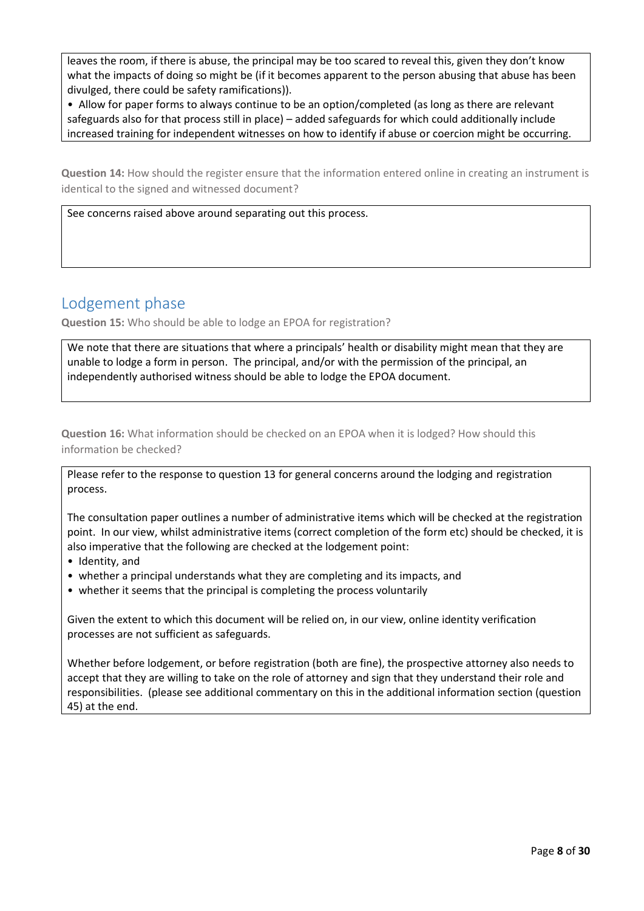leaves the room, if there is abuse, the principal may be too scared to reveal this, given they don't know what the impacts of doing so might be (if it becomes apparent to the person abusing that abuse has been divulged, there could be safety ramifications)).

• Allow for paper forms to always continue to be an option/completed (as long as there are relevant safeguards also for that process still in place) – added safeguards for which could additionally include increased training for independent witnesses on how to identify if abuse or coercion might be occurring.

**Question 14:** How should the register ensure that the information entered online in creating an instrument is identical to the signed and witnessed document?

See concerns raised above around separating out this process.

#### Lodgement phase

**Question 15:** Who should be able to lodge an EPOA for registration?

We note that there are situations that where a principals' health or disability might mean that they are unable to lodge a form in person. The principal, and/or with the permission of the principal, an independently authorised witness should be able to lodge the EPOA document.

**Question 16:** What information should be checked on an EPOA when it is lodged? How should this information be checked?

Please refer to the response to question 13 for general concerns around the lodging and registration process.

The consultation paper outlines a number of administrative items which will be checked at the registration point. In our view, whilst administrative items (correct completion of the form etc) should be checked, it is also imperative that the following are checked at the lodgement point:

- Identity, and
- whether a principal understands what they are completing and its impacts, and
- whether it seems that the principal is completing the process voluntarily

Given the extent to which this document will be relied on, in our view, online identity verification processes are not sufficient as safeguards.

Whether before lodgement, or before registration (both are fine), the prospective attorney also needs to accept that they are willing to take on the role of attorney and sign that they understand their role and responsibilities. (please see additional commentary on this in the additional information section (question 45) at the end.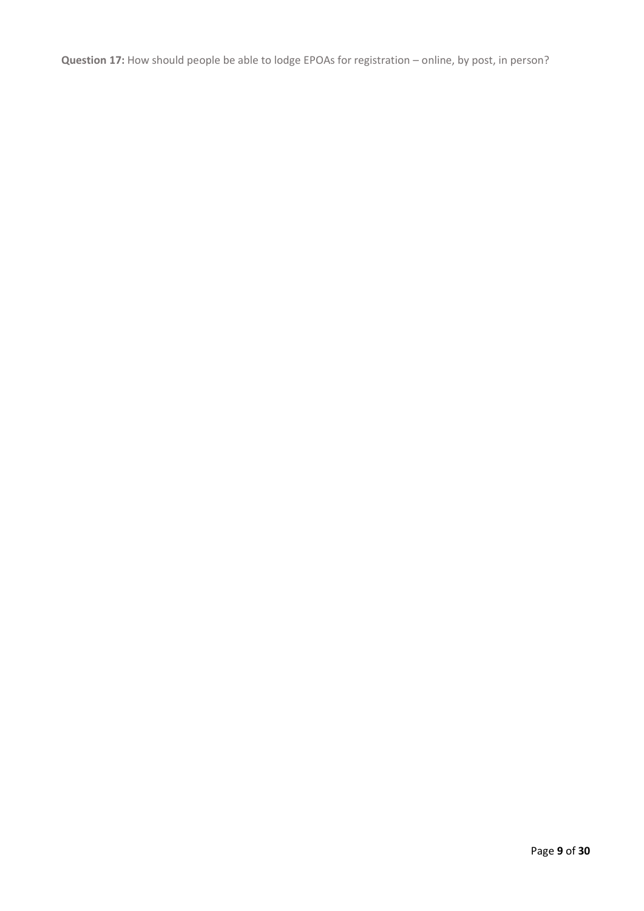**Question 17:** How should people be able to lodge EPOAs for registration – online, by post, in person?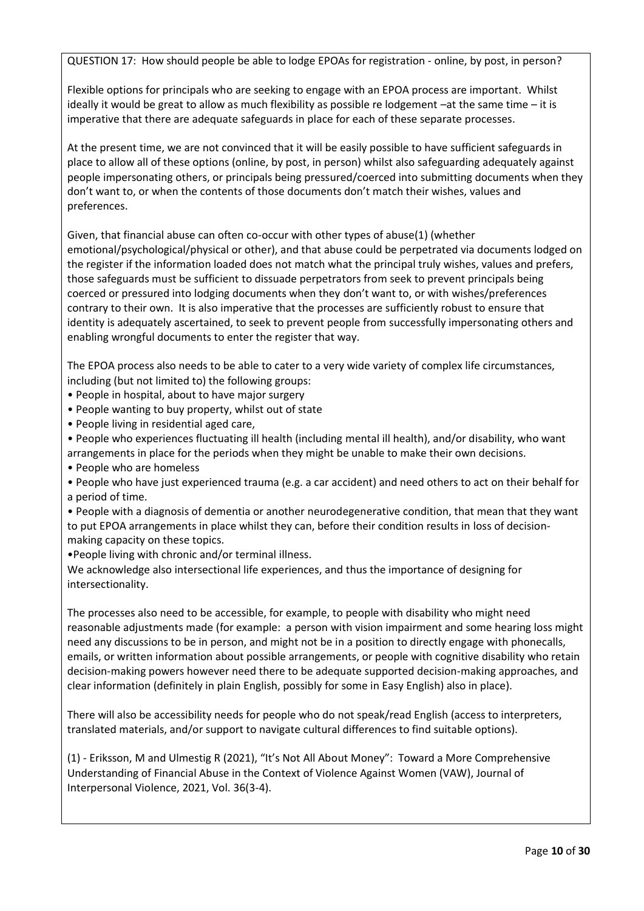QUESTION 17: How should people be able to lodge EPOAs for registration - online, by post, in person?

Flexible options for principals who are seeking to engage with an EPOA process are important. Whilst ideally it would be great to allow as much flexibility as possible re lodgement –at the same time – it is imperative that there are adequate safeguards in place for each of these separate processes.

At the present time, we are not convinced that it will be easily possible to have sufficient safeguards in place to allow all of these options (online, by post, in person) whilst also safeguarding adequately against people impersonating others, or principals being pressured/coerced into submitting documents when they don't want to, or when the contents of those documents don't match their wishes, values and preferences.

Given, that financial abuse can often co-occur with other types of abuse(1) (whether emotional/psychological/physical or other), and that abuse could be perpetrated via documents lodged on the register if the information loaded does not match what the principal truly wishes, values and prefers, those safeguards must be sufficient to dissuade perpetrators from seek to prevent principals being coerced or pressured into lodging documents when they don't want to, or with wishes/preferences contrary to their own. It is also imperative that the processes are sufficiently robust to ensure that identity is adequately ascertained, to seek to prevent people from successfully impersonating others and enabling wrongful documents to enter the register that way.

The EPOA process also needs to be able to cater to a very wide variety of complex life circumstances, including (but not limited to) the following groups:

- People in hospital, about to have major surgery
- People wanting to buy property, whilst out of state
- People living in residential aged care,

• People who experiences fluctuating ill health (including mental ill health), and/or disability, who want arrangements in place for the periods when they might be unable to make their own decisions.

- People who are homeless
- People who have just experienced trauma (e.g. a car accident) and need others to act on their behalf for a period of time.
- People with a diagnosis of dementia or another neurodegenerative condition, that mean that they want to put EPOA arrangements in place whilst they can, before their condition results in loss of decisionmaking capacity on these topics.
- •People living with chronic and/or terminal illness.

We acknowledge also intersectional life experiences, and thus the importance of designing for intersectionality.

The processes also need to be accessible, for example, to people with disability who might need reasonable adjustments made (for example: a person with vision impairment and some hearing loss might need any discussions to be in person, and might not be in a position to directly engage with phonecalls, emails, or written information about possible arrangements, or people with cognitive disability who retain decision-making powers however need there to be adequate supported decision-making approaches, and clear information (definitely in plain English, possibly for some in Easy English) also in place).

There will also be accessibility needs for people who do not speak/read English (access to interpreters, translated materials, and/or support to navigate cultural differences to find suitable options).

(1) - Eriksson, M and Ulmestig R (2021), "It's Not All About Money": Toward a More Comprehensive Understanding of Financial Abuse in the Context of Violence Against Women (VAW), Journal of Interpersonal Violence, 2021, Vol. 36(3-4).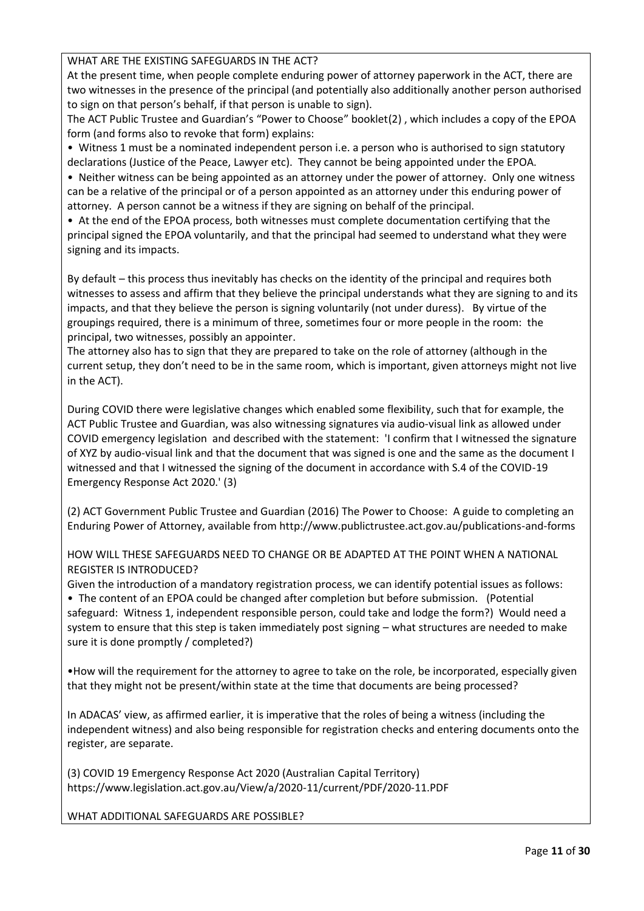WHAT ARE THE EXISTING SAFEGUARDS IN THE ACT?

At the present time, when people complete enduring power of attorney paperwork in the ACT, there are two witnesses in the presence of the principal (and potentially also additionally another person authorised to sign on that person's behalf, if that person is unable to sign).

The ACT Public Trustee and Guardian's "Power to Choose" booklet(2) , which includes a copy of the EPOA form (and forms also to revoke that form) explains:

• Witness 1 must be a nominated independent person i.e. a person who is authorised to sign statutory declarations (Justice of the Peace, Lawyer etc). They cannot be being appointed under the EPOA.

• Neither witness can be being appointed as an attorney under the power of attorney. Only one witness can be a relative of the principal or of a person appointed as an attorney under this enduring power of attorney. A person cannot be a witness if they are signing on behalf of the principal.

• At the end of the EPOA process, both witnesses must complete documentation certifying that the principal signed the EPOA voluntarily, and that the principal had seemed to understand what they were signing and its impacts.

By default – this process thus inevitably has checks on the identity of the principal and requires both witnesses to assess and affirm that they believe the principal understands what they are signing to and its impacts, and that they believe the person is signing voluntarily (not under duress). By virtue of the groupings required, there is a minimum of three, sometimes four or more people in the room: the principal, two witnesses, possibly an appointer.

The attorney also has to sign that they are prepared to take on the role of attorney (although in the current setup, they don't need to be in the same room, which is important, given attorneys might not live in the ACT).

During COVID there were legislative changes which enabled some flexibility, such that for example, the ACT Public Trustee and Guardian, was also witnessing signatures via audio-visual link as allowed under COVID emergency legislation and described with the statement: 'I confirm that I witnessed the signature of XYZ by audio-visual link and that the document that was signed is one and the same as the document I witnessed and that I witnessed the signing of the document in accordance with S.4 of the COVID-19 Emergency Response Act 2020.' (3)

(2) ACT Government Public Trustee and Guardian (2016) The Power to Choose: A guide to completing an Enduring Power of Attorney, available from http://www.publictrustee.act.gov.au/publications-and-forms

#### HOW WILL THESE SAFEGUARDS NEED TO CHANGE OR BE ADAPTED AT THE POINT WHEN A NATIONAL REGISTER IS INTRODUCED?

Given the introduction of a mandatory registration process, we can identify potential issues as follows: • The content of an EPOA could be changed after completion but before submission. (Potential safeguard: Witness 1, independent responsible person, could take and lodge the form?) Would need a system to ensure that this step is taken immediately post signing – what structures are needed to make sure it is done promptly / completed?)

•How will the requirement for the attorney to agree to take on the role, be incorporated, especially given that they might not be present/within state at the time that documents are being processed?

In ADACAS' view, as affirmed earlier, it is imperative that the roles of being a witness (including the independent witness) and also being responsible for registration checks and entering documents onto the register, are separate.

(3) COVID 19 Emergency Response Act 2020 (Australian Capital Territory) https://www.legislation.act.gov.au/View/a/2020-11/current/PDF/2020-11.PDF

WHAT ADDITIONAL SAFEGUARDS ARE POSSIBLE?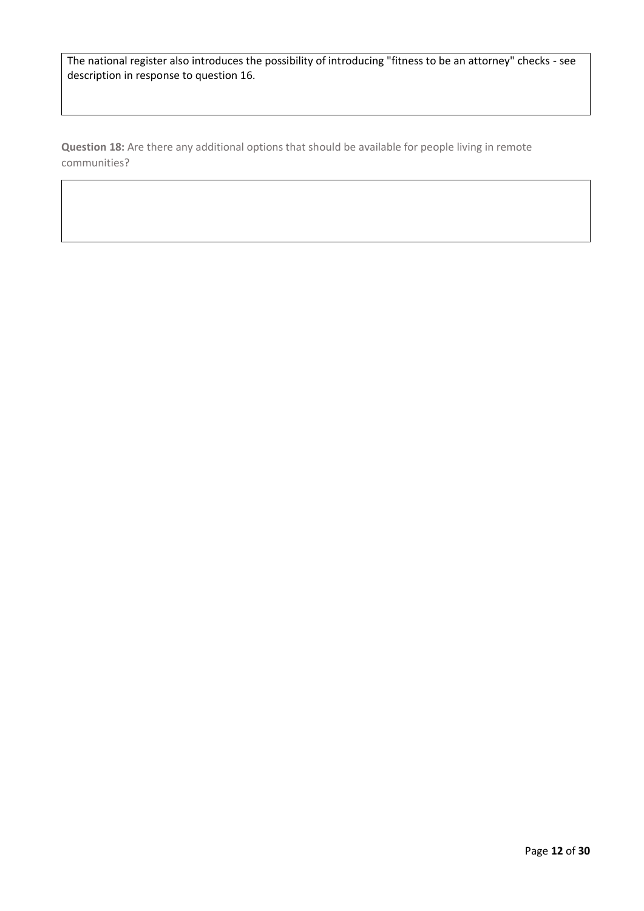The national register also introduces the possibility of introducing "fitness to be an attorney" checks - see description in response to question 16.

**Question 18:** Are there any additional options that should be available for people living in remote communities?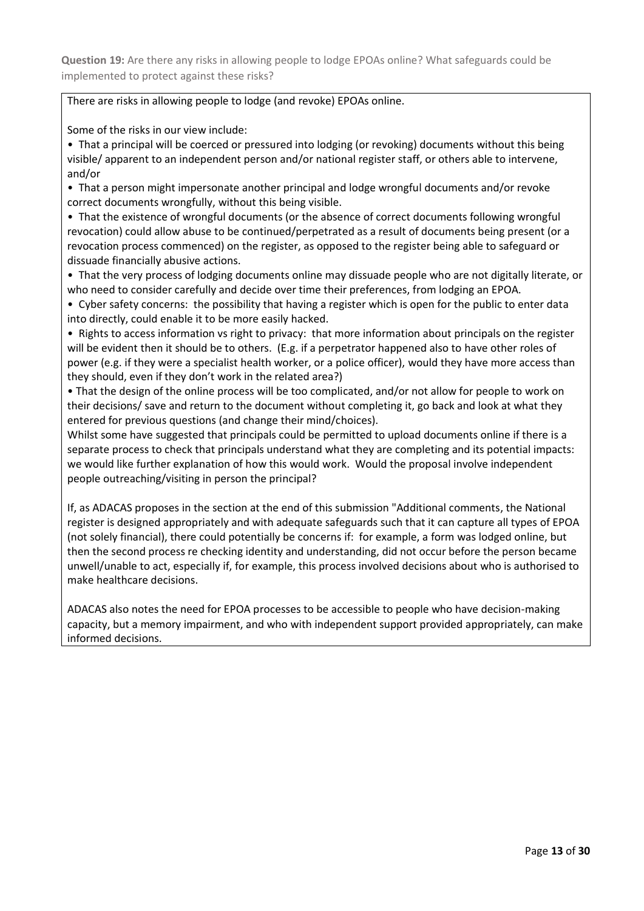**Question 19:** Are there any risks in allowing people to lodge EPOAs online? What safeguards could be implemented to protect against these risks?

There are risks in allowing people to lodge (and revoke) EPOAs online.

Some of the risks in our view include:

• That a principal will be coerced or pressured into lodging (or revoking) documents without this being visible/ apparent to an independent person and/or national register staff, or others able to intervene, and/or

• That a person might impersonate another principal and lodge wrongful documents and/or revoke correct documents wrongfully, without this being visible.

• That the existence of wrongful documents (or the absence of correct documents following wrongful revocation) could allow abuse to be continued/perpetrated as a result of documents being present (or a revocation process commenced) on the register, as opposed to the register being able to safeguard or dissuade financially abusive actions.

• That the very process of lodging documents online may dissuade people who are not digitally literate, or who need to consider carefully and decide over time their preferences, from lodging an EPOA.

• Cyber safety concerns: the possibility that having a register which is open for the public to enter data into directly, could enable it to be more easily hacked.

• Rights to access information vs right to privacy: that more information about principals on the register will be evident then it should be to others. (E.g. if a perpetrator happened also to have other roles of power (e.g. if they were a specialist health worker, or a police officer), would they have more access than they should, even if they don't work in the related area?)

• That the design of the online process will be too complicated, and/or not allow for people to work on their decisions/ save and return to the document without completing it, go back and look at what they entered for previous questions (and change their mind/choices).

Whilst some have suggested that principals could be permitted to upload documents online if there is a separate process to check that principals understand what they are completing and its potential impacts: we would like further explanation of how this would work. Would the proposal involve independent people outreaching/visiting in person the principal?

If, as ADACAS proposes in the section at the end of this submission "Additional comments, the National register is designed appropriately and with adequate safeguards such that it can capture all types of EPOA (not solely financial), there could potentially be concerns if: for example, a form was lodged online, but then the second process re checking identity and understanding, did not occur before the person became unwell/unable to act, especially if, for example, this process involved decisions about who is authorised to make healthcare decisions.

ADACAS also notes the need for EPOA processes to be accessible to people who have decision-making capacity, but a memory impairment, and who with independent support provided appropriately, can make informed decisions.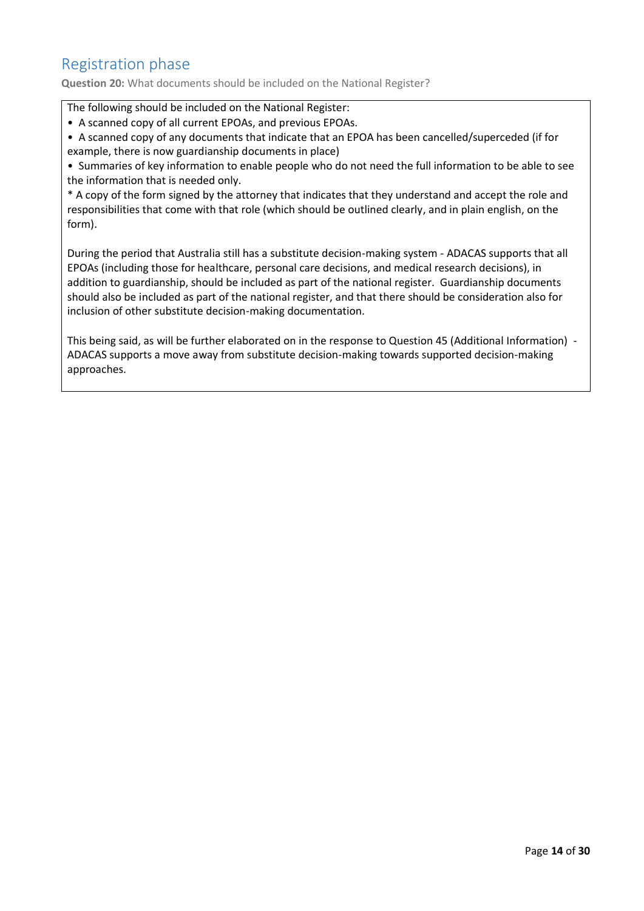## Registration phase

**Question 20:** What documents should be included on the National Register?

The following should be included on the National Register:

• A scanned copy of all current EPOAs, and previous EPOAs.

• A scanned copy of any documents that indicate that an EPOA has been cancelled/superceded (if for example, there is now guardianship documents in place)

• Summaries of key information to enable people who do not need the full information to be able to see the information that is needed only.

\* A copy of the form signed by the attorney that indicates that they understand and accept the role and responsibilities that come with that role (which should be outlined clearly, and in plain english, on the form).

During the period that Australia still has a substitute decision-making system - ADACAS supports that all EPOAs (including those for healthcare, personal care decisions, and medical research decisions), in addition to guardianship, should be included as part of the national register. Guardianship documents should also be included as part of the national register, and that there should be consideration also for inclusion of other substitute decision-making documentation.

This being said, as will be further elaborated on in the response to Question 45 (Additional Information) - ADACAS supports a move away from substitute decision-making towards supported decision-making approaches.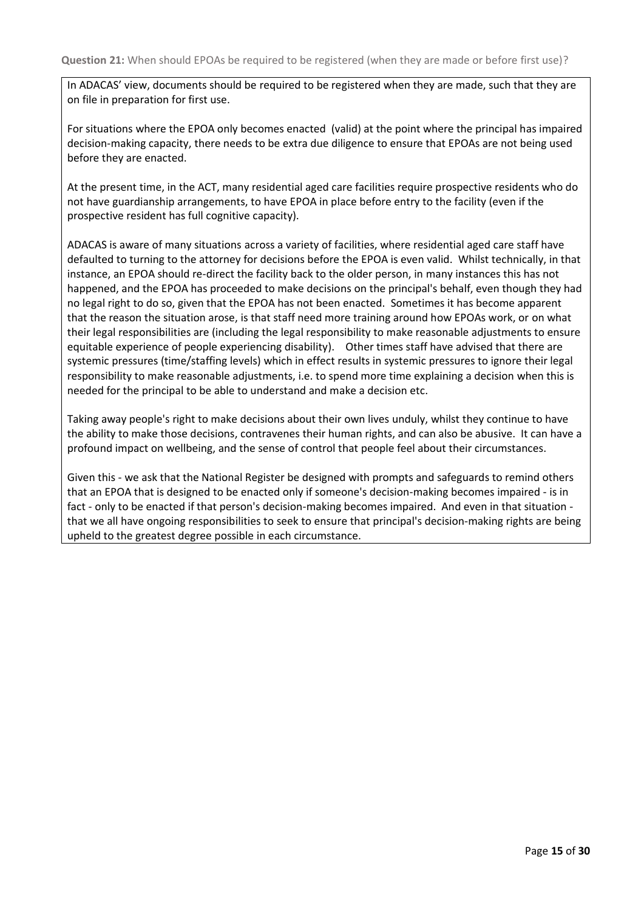In ADACAS' view, documents should be required to be registered when they are made, such that they are on file in preparation for first use.

For situations where the EPOA only becomes enacted (valid) at the point where the principal has impaired decision-making capacity, there needs to be extra due diligence to ensure that EPOAs are not being used before they are enacted.

At the present time, in the ACT, many residential aged care facilities require prospective residents who do not have guardianship arrangements, to have EPOA in place before entry to the facility (even if the prospective resident has full cognitive capacity).

ADACAS is aware of many situations across a variety of facilities, where residential aged care staff have defaulted to turning to the attorney for decisions before the EPOA is even valid. Whilst technically, in that instance, an EPOA should re-direct the facility back to the older person, in many instances this has not happened, and the EPOA has proceeded to make decisions on the principal's behalf, even though they had no legal right to do so, given that the EPOA has not been enacted. Sometimes it has become apparent that the reason the situation arose, is that staff need more training around how EPOAs work, or on what their legal responsibilities are (including the legal responsibility to make reasonable adjustments to ensure equitable experience of people experiencing disability). Other times staff have advised that there are systemic pressures (time/staffing levels) which in effect results in systemic pressures to ignore their legal responsibility to make reasonable adjustments, i.e. to spend more time explaining a decision when this is needed for the principal to be able to understand and make a decision etc.

Taking away people's right to make decisions about their own lives unduly, whilst they continue to have the ability to make those decisions, contravenes their human rights, and can also be abusive. It can have a profound impact on wellbeing, and the sense of control that people feel about their circumstances.

Given this - we ask that the National Register be designed with prompts and safeguards to remind others that an EPOA that is designed to be enacted only if someone's decision-making becomes impaired - is in fact - only to be enacted if that person's decision-making becomes impaired. And even in that situation that we all have ongoing responsibilities to seek to ensure that principal's decision-making rights are being upheld to the greatest degree possible in each circumstance.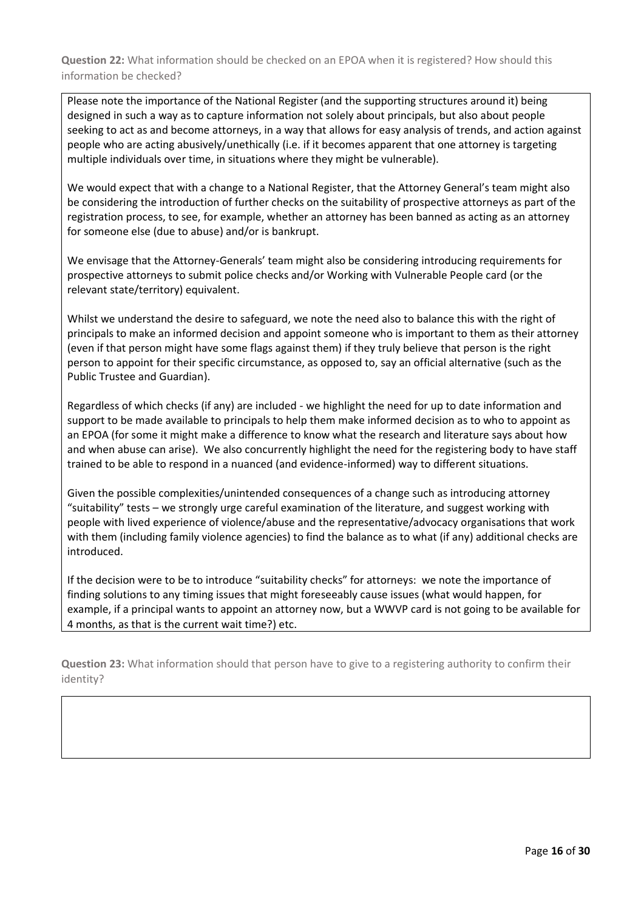**Question 22:** What information should be checked on an EPOA when it is registered? How should this information be checked?

Please note the importance of the National Register (and the supporting structures around it) being designed in such a way as to capture information not solely about principals, but also about people seeking to act as and become attorneys, in a way that allows for easy analysis of trends, and action against people who are acting abusively/unethically (i.e. if it becomes apparent that one attorney is targeting multiple individuals over time, in situations where they might be vulnerable).

We would expect that with a change to a National Register, that the Attorney General's team might also be considering the introduction of further checks on the suitability of prospective attorneys as part of the registration process, to see, for example, whether an attorney has been banned as acting as an attorney for someone else (due to abuse) and/or is bankrupt.

We envisage that the Attorney-Generals' team might also be considering introducing requirements for prospective attorneys to submit police checks and/or Working with Vulnerable People card (or the relevant state/territory) equivalent.

Whilst we understand the desire to safeguard, we note the need also to balance this with the right of principals to make an informed decision and appoint someone who is important to them as their attorney (even if that person might have some flags against them) if they truly believe that person is the right person to appoint for their specific circumstance, as opposed to, say an official alternative (such as the Public Trustee and Guardian).

Regardless of which checks (if any) are included - we highlight the need for up to date information and support to be made available to principals to help them make informed decision as to who to appoint as an EPOA (for some it might make a difference to know what the research and literature says about how and when abuse can arise). We also concurrently highlight the need for the registering body to have staff trained to be able to respond in a nuanced (and evidence-informed) way to different situations.

Given the possible complexities/unintended consequences of a change such as introducing attorney "suitability" tests – we strongly urge careful examination of the literature, and suggest working with people with lived experience of violence/abuse and the representative/advocacy organisations that work with them (including family violence agencies) to find the balance as to what (if any) additional checks are introduced.

If the decision were to be to introduce "suitability checks" for attorneys: we note the importance of finding solutions to any timing issues that might foreseeably cause issues (what would happen, for example, if a principal wants to appoint an attorney now, but a WWVP card is not going to be available for 4 months, as that is the current wait time?) etc.

**Question 23:** What information should that person have to give to a registering authority to confirm their identity?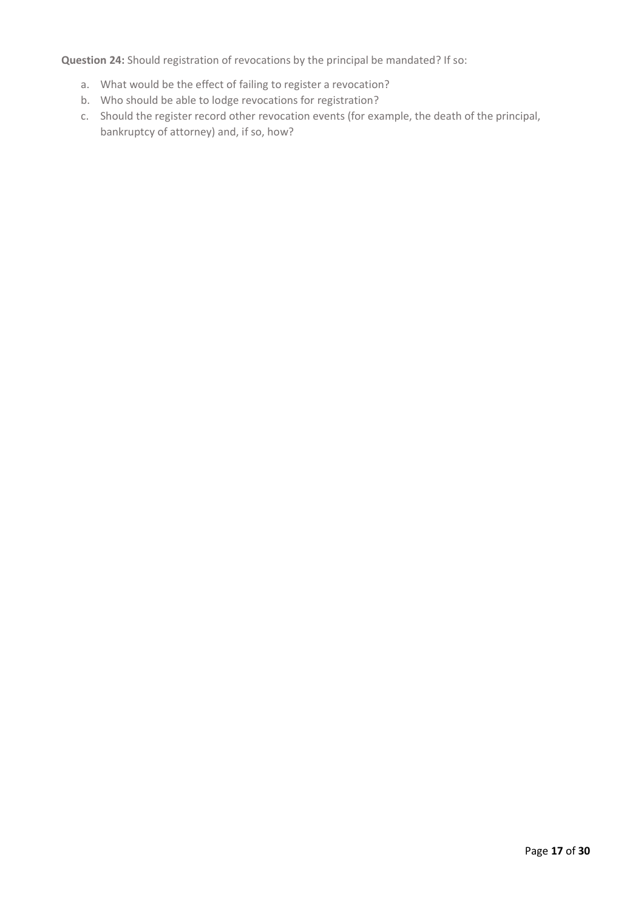**Question 24:** Should registration of revocations by the principal be mandated? If so:

- a. What would be the effect of failing to register a revocation?
- b. Who should be able to lodge revocations for registration?
- c. Should the register record other revocation events (for example, the death of the principal, bankruptcy of attorney) and, if so, how?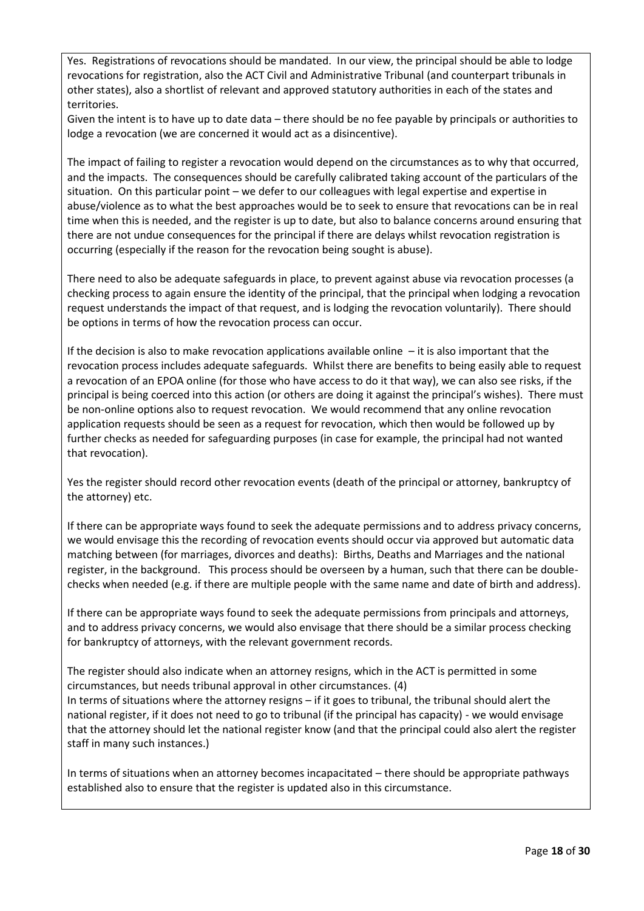Yes. Registrations of revocations should be mandated. In our view, the principal should be able to lodge revocations for registration, also the ACT Civil and Administrative Tribunal (and counterpart tribunals in other states), also a shortlist of relevant and approved statutory authorities in each of the states and territories.

Given the intent is to have up to date data – there should be no fee payable by principals or authorities to lodge a revocation (we are concerned it would act as a disincentive).

The impact of failing to register a revocation would depend on the circumstances as to why that occurred, and the impacts. The consequences should be carefully calibrated taking account of the particulars of the situation. On this particular point – we defer to our colleagues with legal expertise and expertise in abuse/violence as to what the best approaches would be to seek to ensure that revocations can be in real time when this is needed, and the register is up to date, but also to balance concerns around ensuring that there are not undue consequences for the principal if there are delays whilst revocation registration is occurring (especially if the reason for the revocation being sought is abuse).

There need to also be adequate safeguards in place, to prevent against abuse via revocation processes (a checking process to again ensure the identity of the principal, that the principal when lodging a revocation request understands the impact of that request, and is lodging the revocation voluntarily). There should be options in terms of how the revocation process can occur.

If the decision is also to make revocation applications available online  $-$  it is also important that the revocation process includes adequate safeguards. Whilst there are benefits to being easily able to request a revocation of an EPOA online (for those who have access to do it that way), we can also see risks, if the principal is being coerced into this action (or others are doing it against the principal's wishes). There must be non-online options also to request revocation. We would recommend that any online revocation application requests should be seen as a request for revocation, which then would be followed up by further checks as needed for safeguarding purposes (in case for example, the principal had not wanted that revocation).

Yes the register should record other revocation events (death of the principal or attorney, bankruptcy of the attorney) etc.

If there can be appropriate ways found to seek the adequate permissions and to address privacy concerns, we would envisage this the recording of revocation events should occur via approved but automatic data matching between (for marriages, divorces and deaths): Births, Deaths and Marriages and the national register, in the background. This process should be overseen by a human, such that there can be doublechecks when needed (e.g. if there are multiple people with the same name and date of birth and address).

If there can be appropriate ways found to seek the adequate permissions from principals and attorneys, and to address privacy concerns, we would also envisage that there should be a similar process checking for bankruptcy of attorneys, with the relevant government records.

The register should also indicate when an attorney resigns, which in the ACT is permitted in some circumstances, but needs tribunal approval in other circumstances. (4) In terms of situations where the attorney resigns – if it goes to tribunal, the tribunal should alert the national register, if it does not need to go to tribunal (if the principal has capacity) - we would envisage that the attorney should let the national register know (and that the principal could also alert the register staff in many such instances.)

In terms of situations when an attorney becomes incapacitated – there should be appropriate pathways established also to ensure that the register is updated also in this circumstance.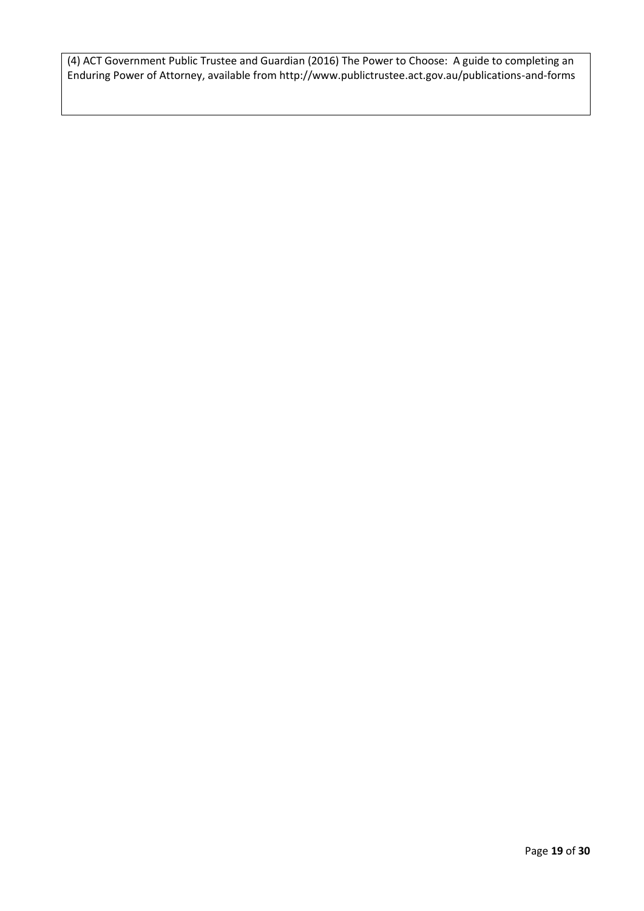(4) ACT Government Public Trustee and Guardian (2016) The Power to Choose: A guide to completing an Enduring Power of Attorney, available from http://www.publictrustee.act.gov.au/publications-and-forms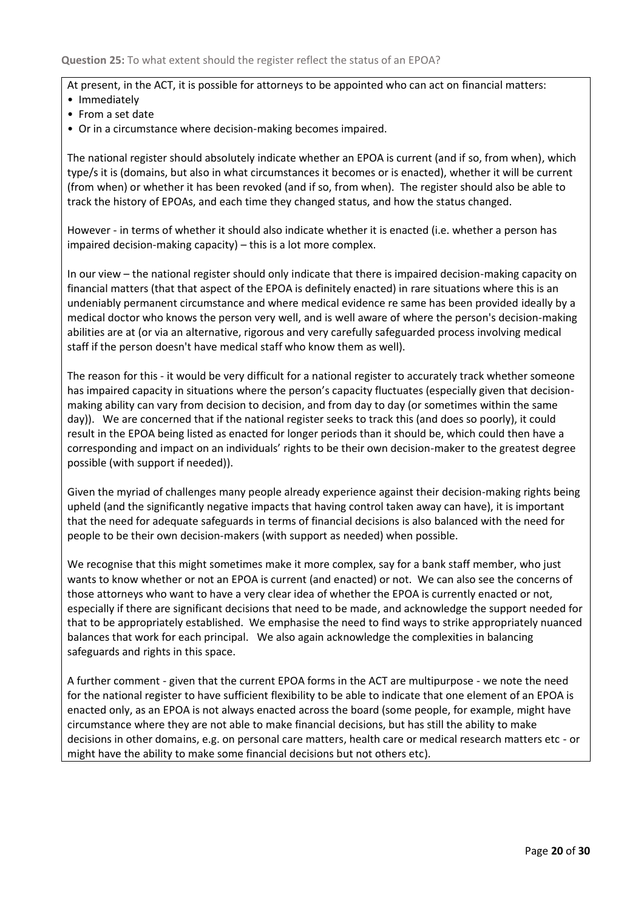At present, in the ACT, it is possible for attorneys to be appointed who can act on financial matters:

- Immediately
- From a set date
- Or in a circumstance where decision-making becomes impaired.

The national register should absolutely indicate whether an EPOA is current (and if so, from when), which type/s it is (domains, but also in what circumstances it becomes or is enacted), whether it will be current (from when) or whether it has been revoked (and if so, from when). The register should also be able to track the history of EPOAs, and each time they changed status, and how the status changed.

However - in terms of whether it should also indicate whether it is enacted (i.e. whether a person has impaired decision-making capacity) – this is a lot more complex.

In our view – the national register should only indicate that there is impaired decision-making capacity on financial matters (that that aspect of the EPOA is definitely enacted) in rare situations where this is an undeniably permanent circumstance and where medical evidence re same has been provided ideally by a medical doctor who knows the person very well, and is well aware of where the person's decision-making abilities are at (or via an alternative, rigorous and very carefully safeguarded process involving medical staff if the person doesn't have medical staff who know them as well).

The reason for this - it would be very difficult for a national register to accurately track whether someone has impaired capacity in situations where the person's capacity fluctuates (especially given that decisionmaking ability can vary from decision to decision, and from day to day (or sometimes within the same day)). We are concerned that if the national register seeks to track this (and does so poorly), it could result in the EPOA being listed as enacted for longer periods than it should be, which could then have a corresponding and impact on an individuals' rights to be their own decision-maker to the greatest degree possible (with support if needed)).

Given the myriad of challenges many people already experience against their decision-making rights being upheld (and the significantly negative impacts that having control taken away can have), it is important that the need for adequate safeguards in terms of financial decisions is also balanced with the need for people to be their own decision-makers (with support as needed) when possible.

We recognise that this might sometimes make it more complex, say for a bank staff member, who just wants to know whether or not an EPOA is current (and enacted) or not. We can also see the concerns of those attorneys who want to have a very clear idea of whether the EPOA is currently enacted or not, especially if there are significant decisions that need to be made, and acknowledge the support needed for that to be appropriately established. We emphasise the need to find ways to strike appropriately nuanced balances that work for each principal. We also again acknowledge the complexities in balancing safeguards and rights in this space.

A further comment - given that the current EPOA forms in the ACT are multipurpose - we note the need for the national register to have sufficient flexibility to be able to indicate that one element of an EPOA is enacted only, as an EPOA is not always enacted across the board (some people, for example, might have circumstance where they are not able to make financial decisions, but has still the ability to make decisions in other domains, e.g. on personal care matters, health care or medical research matters etc - or might have the ability to make some financial decisions but not others etc).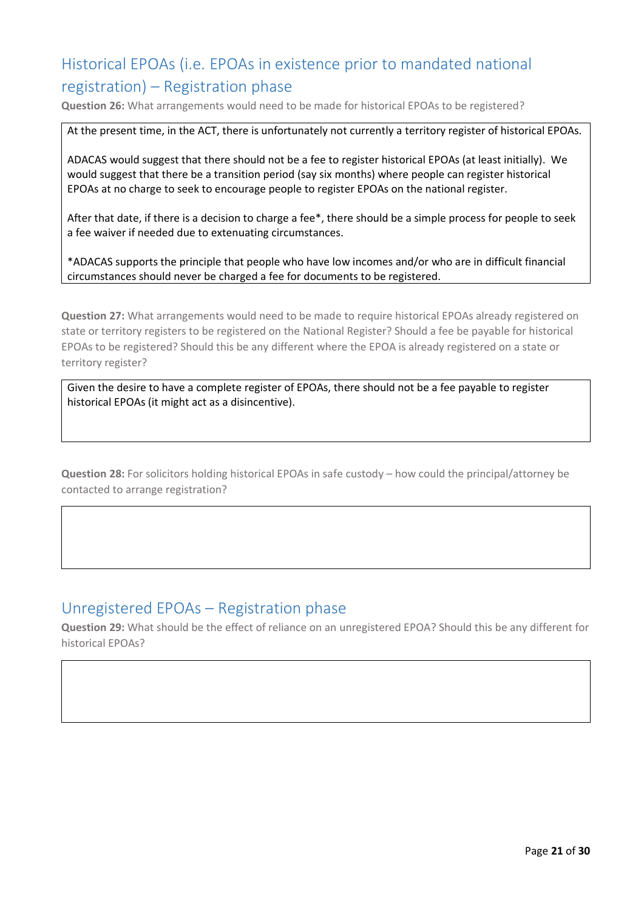## Historical EPOAs (i.e. EPOAs in existence prior to mandated national registration) – Registration phase

**Question 26:** What arrangements would need to be made for historical EPOAs to be registered?

At the present time, in the ACT, there is unfortunately not currently a territory register of historical EPOAs.

ADACAS would suggest that there should not be a fee to register historical EPOAs (at least initially). We would suggest that there be a transition period (say six months) where people can register historical EPOAs at no charge to seek to encourage people to register EPOAs on the national register.

After that date, if there is a decision to charge a fee\*, there should be a simple process for people to seek a fee waiver if needed due to extenuating circumstances.

\*ADACAS supports the principle that people who have low incomes and/or who are in difficult financial circumstances should never be charged a fee for documents to be registered.

**Question 27:** What arrangements would need to be made to require historical EPOAs already registered on state or territory registers to be registered on the National Register? Should a fee be payable for historical EPOAs to be registered? Should this be any different where the EPOA is already registered on a state or territory register?

Given the desire to have a complete register of EPOAs, there should not be a fee payable to register historical EPOAs (it might act as a disincentive).

**Question 28:** For solicitors holding historical EPOAs in safe custody – how could the principal/attorney be contacted to arrange registration?

#### Unregistered EPOAs – Registration phase

**Question 29:** What should be the effect of reliance on an unregistered EPOA? Should this be any different for historical EPOAs?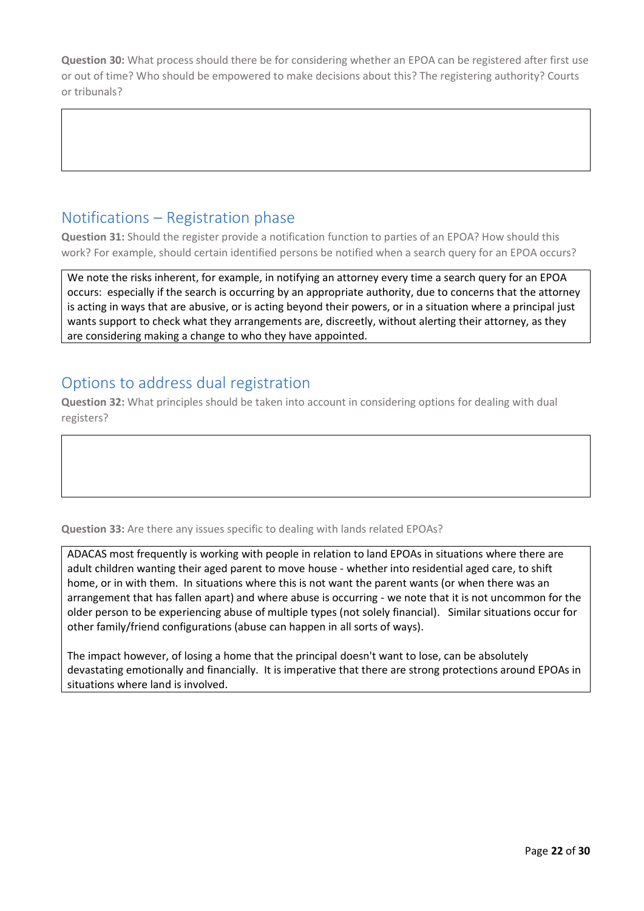**Question 30:** What process should there be for considering whether an EPOA can be registered after first use or out of time? Who should be empowered to make decisions about this? The registering authority? Courts or tribunals?

## Notifications – Registration phase

**Question 31:** Should the register provide a notification function to parties of an EPOA? How should this work? For example, should certain identified persons be notified when a search query for an EPOA occurs?

We note the risks inherent, for example, in notifying an attorney every time a search query for an EPOA occurs: especially if the search is occurring by an appropriate authority, due to concerns that the attorney is acting in ways that are abusive, or is acting beyond their powers, or in a situation where a principal just wants support to check what they arrangements are, discreetly, without alerting their attorney, as they are considering making a change to who they have appointed.

#### Options to address dual registration

**Question 32:** What principles should be taken into account in considering options for dealing with dual registers?

**Question 33:** Are there any issues specific to dealing with lands related EPOAs?

ADACAS most frequently is working with people in relation to land EPOAs in situations where there are adult children wanting their aged parent to move house - whether into residential aged care, to shift home, or in with them. In situations where this is not want the parent wants (or when there was an arrangement that has fallen apart) and where abuse is occurring - we note that it is not uncommon for the older person to be experiencing abuse of multiple types (not solely financial). Similar situations occur for other family/friend configurations (abuse can happen in all sorts of ways).

The impact however, of losing a home that the principal doesn't want to lose, can be absolutely devastating emotionally and financially. It is imperative that there are strong protections around EPOAs in situations where land is involved.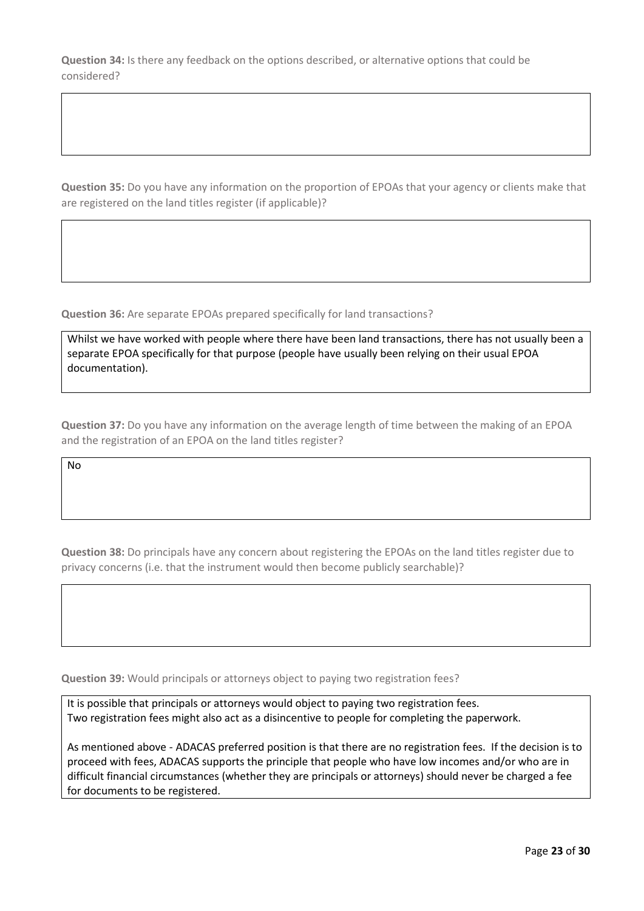**Question 34:** Is there any feedback on the options described, or alternative options that could be considered?

**Question 35:** Do you have any information on the proportion of EPOAs that your agency or clients make that are registered on the land titles register (if applicable)?

**Question 36:** Are separate EPOAs prepared specifically for land transactions?

Whilst we have worked with people where there have been land transactions, there has not usually been a separate EPOA specifically for that purpose (people have usually been relying on their usual EPOA documentation).

**Question 37:** Do you have any information on the average length of time between the making of an EPOA and the registration of an EPOA on the land titles register?

No

**Question 38:** Do principals have any concern about registering the EPOAs on the land titles register due to privacy concerns (i.e. that the instrument would then become publicly searchable)?

**Question 39:** Would principals or attorneys object to paying two registration fees?

It is possible that principals or attorneys would object to paying two registration fees. Two registration fees might also act as a disincentive to people for completing the paperwork.

As mentioned above - ADACAS preferred position is that there are no registration fees. If the decision is to proceed with fees, ADACAS supports the principle that people who have low incomes and/or who are in difficult financial circumstances (whether they are principals or attorneys) should never be charged a fee for documents to be registered.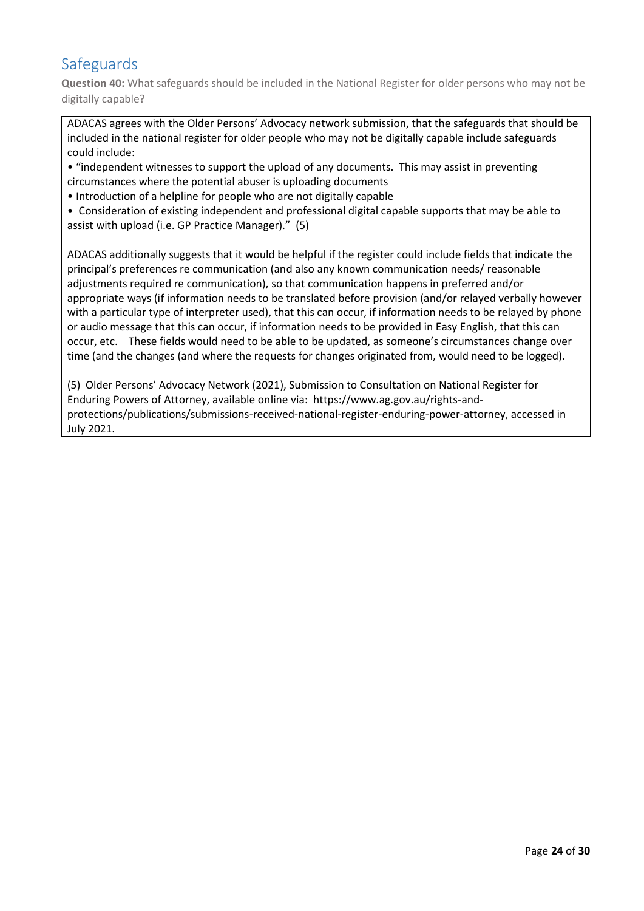### Safeguards

**Question 40:** What safeguards should be included in the National Register for older persons who may not be digitally capable?

ADACAS agrees with the Older Persons' Advocacy network submission, that the safeguards that should be included in the national register for older people who may not be digitally capable include safeguards could include:

• "independent witnesses to support the upload of any documents. This may assist in preventing circumstances where the potential abuser is uploading documents

• Introduction of a helpline for people who are not digitally capable

• Consideration of existing independent and professional digital capable supports that may be able to assist with upload (i.e. GP Practice Manager)." (5)

ADACAS additionally suggests that it would be helpful if the register could include fields that indicate the principal's preferences re communication (and also any known communication needs/ reasonable adjustments required re communication), so that communication happens in preferred and/or appropriate ways (if information needs to be translated before provision (and/or relayed verbally however with a particular type of interpreter used), that this can occur, if information needs to be relayed by phone or audio message that this can occur, if information needs to be provided in Easy English, that this can occur, etc. These fields would need to be able to be updated, as someone's circumstances change over time (and the changes (and where the requests for changes originated from, would need to be logged).

(5) Older Persons' Advocacy Network (2021), Submission to Consultation on National Register for Enduring Powers of Attorney, available online via: https://www.ag.gov.au/rights-andprotections/publications/submissions-received-national-register-enduring-power-attorney, accessed in July 2021.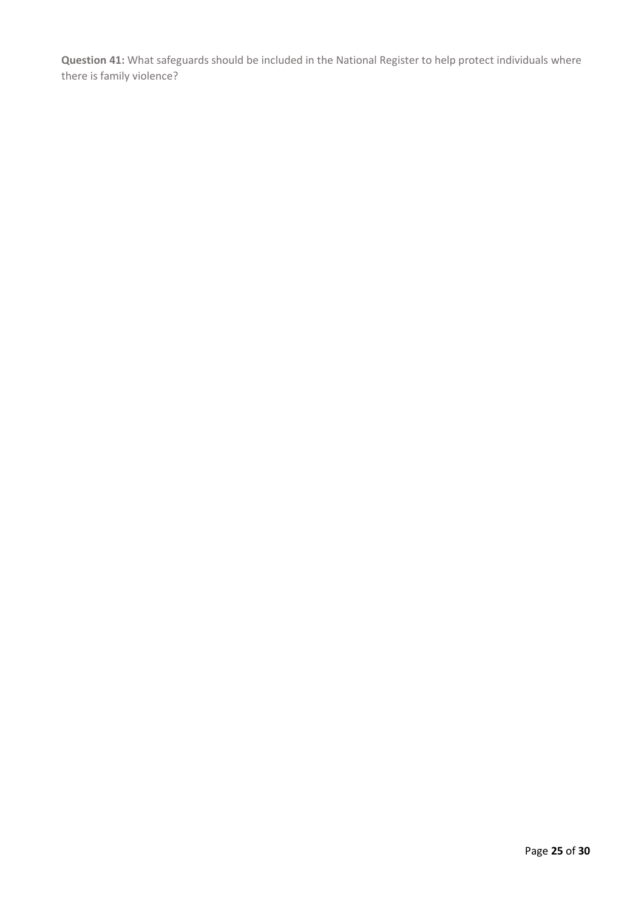**Question 41:** What safeguards should be included in the National Register to help protect individuals where there is family violence?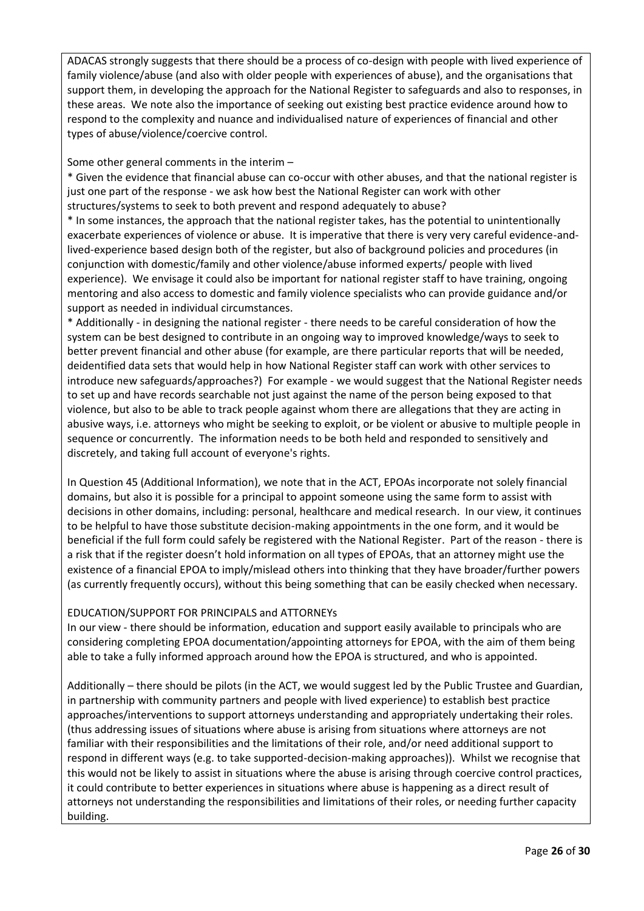ADACAS strongly suggests that there should be a process of co-design with people with lived experience of family violence/abuse (and also with older people with experiences of abuse), and the organisations that support them, in developing the approach for the National Register to safeguards and also to responses, in these areas. We note also the importance of seeking out existing best practice evidence around how to respond to the complexity and nuance and individualised nature of experiences of financial and other types of abuse/violence/coercive control.

Some other general comments in the interim –

\* Given the evidence that financial abuse can co-occur with other abuses, and that the national register is just one part of the response - we ask how best the National Register can work with other structures/systems to seek to both prevent and respond adequately to abuse?

\* In some instances, the approach that the national register takes, has the potential to unintentionally exacerbate experiences of violence or abuse. It is imperative that there is very very careful evidence-andlived-experience based design both of the register, but also of background policies and procedures (in conjunction with domestic/family and other violence/abuse informed experts/ people with lived experience). We envisage it could also be important for national register staff to have training, ongoing mentoring and also access to domestic and family violence specialists who can provide guidance and/or support as needed in individual circumstances.

\* Additionally - in designing the national register - there needs to be careful consideration of how the system can be best designed to contribute in an ongoing way to improved knowledge/ways to seek to better prevent financial and other abuse (for example, are there particular reports that will be needed, deidentified data sets that would help in how National Register staff can work with other services to introduce new safeguards/approaches?) For example - we would suggest that the National Register needs to set up and have records searchable not just against the name of the person being exposed to that violence, but also to be able to track people against whom there are allegations that they are acting in abusive ways, i.e. attorneys who might be seeking to exploit, or be violent or abusive to multiple people in sequence or concurrently. The information needs to be both held and responded to sensitively and discretely, and taking full account of everyone's rights.

In Question 45 (Additional Information), we note that in the ACT, EPOAs incorporate not solely financial domains, but also it is possible for a principal to appoint someone using the same form to assist with decisions in other domains, including: personal, healthcare and medical research. In our view, it continues to be helpful to have those substitute decision-making appointments in the one form, and it would be beneficial if the full form could safely be registered with the National Register. Part of the reason - there is a risk that if the register doesn't hold information on all types of EPOAs, that an attorney might use the existence of a financial EPOA to imply/mislead others into thinking that they have broader/further powers (as currently frequently occurs), without this being something that can be easily checked when necessary.

#### EDUCATION/SUPPORT FOR PRINCIPALS and ATTORNEYs

In our view - there should be information, education and support easily available to principals who are considering completing EPOA documentation/appointing attorneys for EPOA, with the aim of them being able to take a fully informed approach around how the EPOA is structured, and who is appointed.

Additionally – there should be pilots (in the ACT, we would suggest led by the Public Trustee and Guardian, in partnership with community partners and people with lived experience) to establish best practice approaches/interventions to support attorneys understanding and appropriately undertaking their roles. (thus addressing issues of situations where abuse is arising from situations where attorneys are not familiar with their responsibilities and the limitations of their role, and/or need additional support to respond in different ways (e.g. to take supported-decision-making approaches)). Whilst we recognise that this would not be likely to assist in situations where the abuse is arising through coercive control practices, it could contribute to better experiences in situations where abuse is happening as a direct result of attorneys not understanding the responsibilities and limitations of their roles, or needing further capacity building.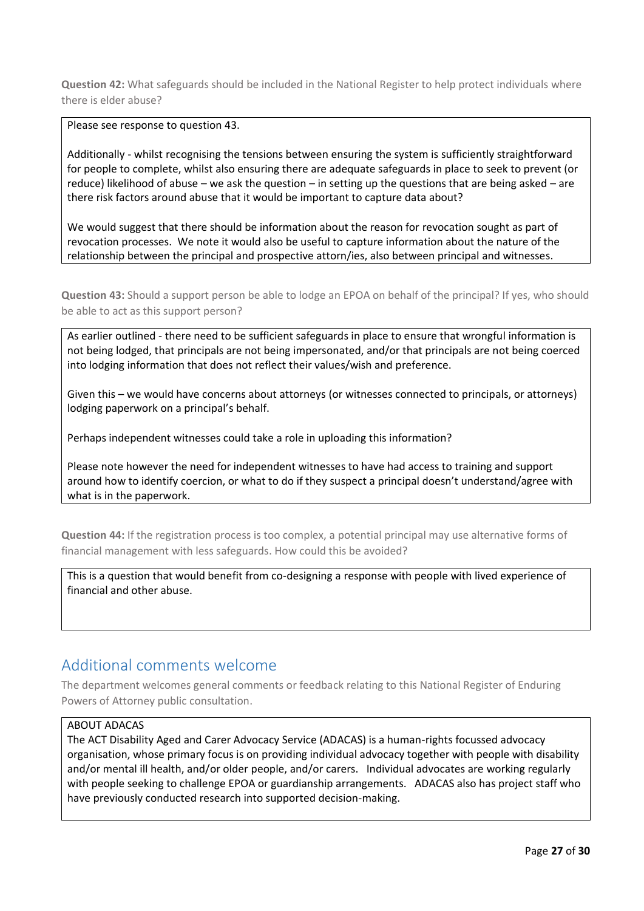**Question 42:** What safeguards should be included in the National Register to help protect individuals where there is elder abuse?

Please see response to question 43.

Additionally - whilst recognising the tensions between ensuring the system is sufficiently straightforward for people to complete, whilst also ensuring there are adequate safeguards in place to seek to prevent (or reduce) likelihood of abuse – we ask the question – in setting up the questions that are being asked – are there risk factors around abuse that it would be important to capture data about?

We would suggest that there should be information about the reason for revocation sought as part of revocation processes. We note it would also be useful to capture information about the nature of the relationship between the principal and prospective attorn/ies, also between principal and witnesses.

**Question 43:** Should a support person be able to lodge an EPOA on behalf of the principal? If yes, who should be able to act as this support person?

As earlier outlined - there need to be sufficient safeguards in place to ensure that wrongful information is not being lodged, that principals are not being impersonated, and/or that principals are not being coerced into lodging information that does not reflect their values/wish and preference.

Given this – we would have concerns about attorneys (or witnesses connected to principals, or attorneys) lodging paperwork on a principal's behalf.

Perhaps independent witnesses could take a role in uploading this information?

Please note however the need for independent witnesses to have had access to training and support around how to identify coercion, or what to do if they suspect a principal doesn't understand/agree with what is in the paperwork.

**Question 44:** If the registration process is too complex, a potential principal may use alternative forms of financial management with less safeguards. How could this be avoided?

This is a question that would benefit from co-designing a response with people with lived experience of financial and other abuse.

#### Additional comments welcome

The department welcomes general comments or feedback relating to this National Register of Enduring Powers of Attorney public consultation.

#### ABOUT ADACAS

The ACT Disability Aged and Carer Advocacy Service (ADACAS) is a human-rights focussed advocacy organisation, whose primary focus is on providing individual advocacy together with people with disability and/or mental ill health, and/or older people, and/or carers. Individual advocates are working regularly with people seeking to challenge EPOA or guardianship arrangements. ADACAS also has project staff who have previously conducted research into supported decision-making.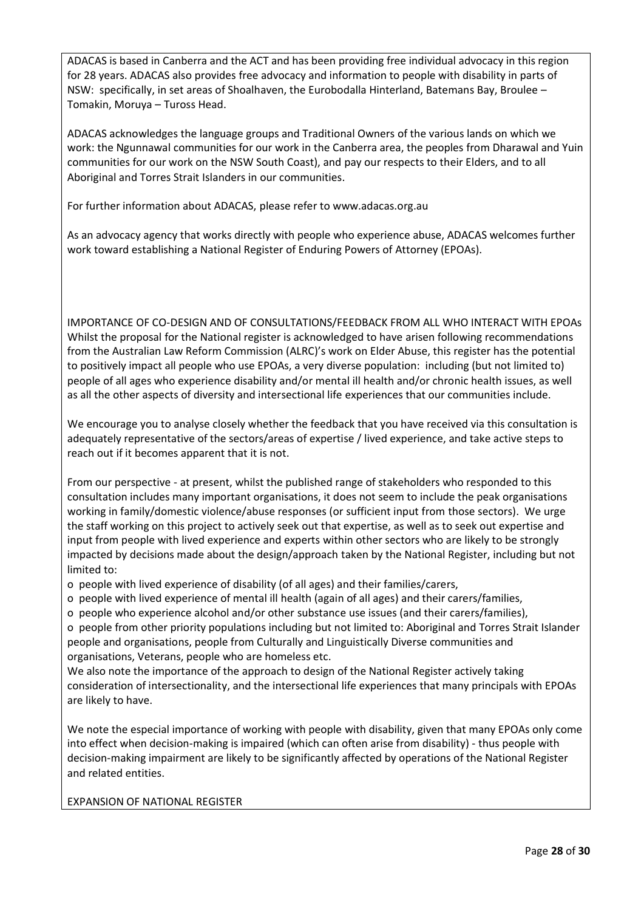ADACAS is based in Canberra and the ACT and has been providing free individual advocacy in this region for 28 years. ADACAS also provides free advocacy and information to people with disability in parts of NSW: specifically, in set areas of Shoalhaven, the Eurobodalla Hinterland, Batemans Bay, Broulee – Tomakin, Moruya – Tuross Head.

ADACAS acknowledges the language groups and Traditional Owners of the various lands on which we work: the Ngunnawal communities for our work in the Canberra area, the peoples from Dharawal and Yuin communities for our work on the NSW South Coast), and pay our respects to their Elders, and to all Aboriginal and Torres Strait Islanders in our communities.

For further information about ADACAS, please refer to www.adacas.org.au

As an advocacy agency that works directly with people who experience abuse, ADACAS welcomes further work toward establishing a National Register of Enduring Powers of Attorney (EPOAs).

IMPORTANCE OF CO-DESIGN AND OF CONSULTATIONS/FEEDBACK FROM ALL WHO INTERACT WITH EPOAs Whilst the proposal for the National register is acknowledged to have arisen following recommendations from the Australian Law Reform Commission (ALRC)'s work on Elder Abuse, this register has the potential to positively impact all people who use EPOAs, a very diverse population: including (but not limited to) people of all ages who experience disability and/or mental ill health and/or chronic health issues, as well as all the other aspects of diversity and intersectional life experiences that our communities include.

We encourage you to analyse closely whether the feedback that you have received via this consultation is adequately representative of the sectors/areas of expertise / lived experience, and take active steps to reach out if it becomes apparent that it is not.

From our perspective - at present, whilst the published range of stakeholders who responded to this consultation includes many important organisations, it does not seem to include the peak organisations working in family/domestic violence/abuse responses (or sufficient input from those sectors). We urge the staff working on this project to actively seek out that expertise, as well as to seek out expertise and input from people with lived experience and experts within other sectors who are likely to be strongly impacted by decisions made about the design/approach taken by the National Register, including but not limited to:

- o people with lived experience of disability (of all ages) and their families/carers,
- o people with lived experience of mental ill health (again of all ages) and their carers/families,
- o people who experience alcohol and/or other substance use issues (and their carers/families),

o people from other priority populations including but not limited to: Aboriginal and Torres Strait Islander people and organisations, people from Culturally and Linguistically Diverse communities and organisations, Veterans, people who are homeless etc.

We also note the importance of the approach to design of the National Register actively taking consideration of intersectionality, and the intersectional life experiences that many principals with EPOAs are likely to have.

We note the especial importance of working with people with disability, given that many EPOAs only come into effect when decision-making is impaired (which can often arise from disability) - thus people with decision-making impairment are likely to be significantly affected by operations of the National Register and related entities.

EXPANSION OF NATIONAL REGISTER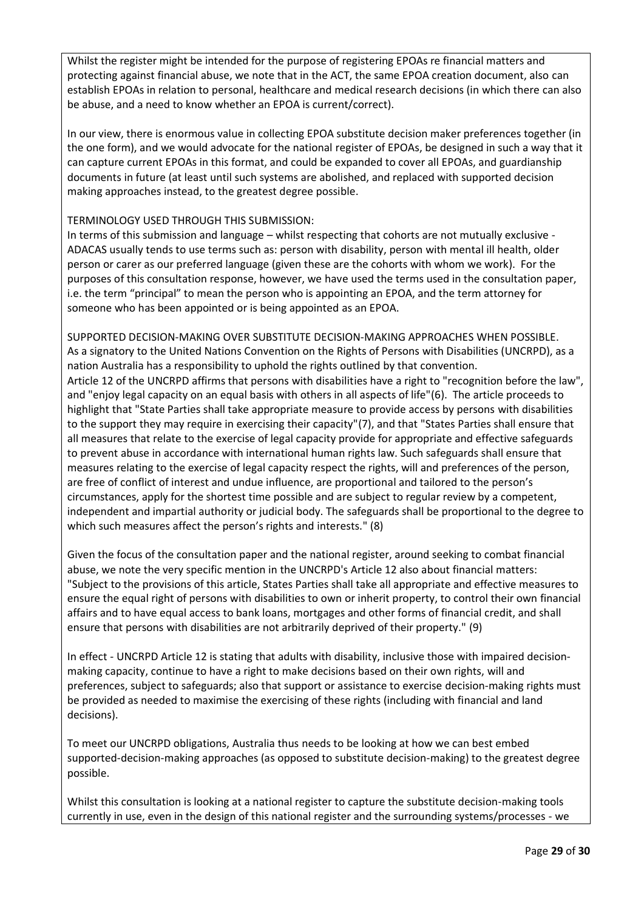Whilst the register might be intended for the purpose of registering EPOAs re financial matters and protecting against financial abuse, we note that in the ACT, the same EPOA creation document, also can establish EPOAs in relation to personal, healthcare and medical research decisions (in which there can also be abuse, and a need to know whether an EPOA is current/correct).

In our view, there is enormous value in collecting EPOA substitute decision maker preferences together (in the one form), and we would advocate for the national register of EPOAs, be designed in such a way that it can capture current EPOAs in this format, and could be expanded to cover all EPOAs, and guardianship documents in future (at least until such systems are abolished, and replaced with supported decision making approaches instead, to the greatest degree possible.

#### TERMINOLOGY USED THROUGH THIS SUBMISSION:

In terms of this submission and language – whilst respecting that cohorts are not mutually exclusive - ADACAS usually tends to use terms such as: person with disability, person with mental ill health, older person or carer as our preferred language (given these are the cohorts with whom we work). For the purposes of this consultation response, however, we have used the terms used in the consultation paper, i.e. the term "principal" to mean the person who is appointing an EPOA, and the term attorney for someone who has been appointed or is being appointed as an EPOA.

SUPPORTED DECISION-MAKING OVER SUBSTITUTE DECISION-MAKING APPROACHES WHEN POSSIBLE. As a signatory to the United Nations Convention on the Rights of Persons with Disabilities (UNCRPD), as a nation Australia has a responsibility to uphold the rights outlined by that convention. Article 12 of the UNCRPD affirms that persons with disabilities have a right to "recognition before the law", and "enjoy legal capacity on an equal basis with others in all aspects of life"(6). The article proceeds to highlight that "State Parties shall take appropriate measure to provide access by persons with disabilities to the support they may require in exercising their capacity"(7), and that "States Parties shall ensure that all measures that relate to the exercise of legal capacity provide for appropriate and effective safeguards to prevent abuse in accordance with international human rights law. Such safeguards shall ensure that measures relating to the exercise of legal capacity respect the rights, will and preferences of the person, are free of conflict of interest and undue influence, are proportional and tailored to the person's circumstances, apply for the shortest time possible and are subject to regular review by a competent, independent and impartial authority or judicial body. The safeguards shall be proportional to the degree to which such measures affect the person's rights and interests." (8)

Given the focus of the consultation paper and the national register, around seeking to combat financial abuse, we note the very specific mention in the UNCRPD's Article 12 also about financial matters: "Subject to the provisions of this article, States Parties shall take all appropriate and effective measures to ensure the equal right of persons with disabilities to own or inherit property, to control their own financial affairs and to have equal access to bank loans, mortgages and other forms of financial credit, and shall ensure that persons with disabilities are not arbitrarily deprived of their property." (9)

In effect - UNCRPD Article 12 is stating that adults with disability, inclusive those with impaired decisionmaking capacity, continue to have a right to make decisions based on their own rights, will and preferences, subject to safeguards; also that support or assistance to exercise decision-making rights must be provided as needed to maximise the exercising of these rights (including with financial and land decisions).

To meet our UNCRPD obligations, Australia thus needs to be looking at how we can best embed supported-decision-making approaches (as opposed to substitute decision-making) to the greatest degree possible.

Whilst this consultation is looking at a national register to capture the substitute decision-making tools currently in use, even in the design of this national register and the surrounding systems/processes - we